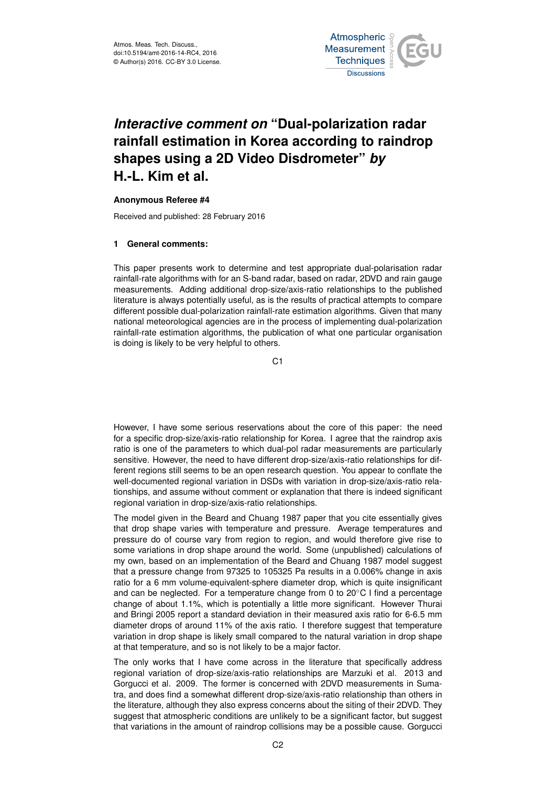

# *Interactive comment on* **"Dual-polarization radar rainfall estimation in Korea according to raindrop shapes using a 2D Video Disdrometer"** *by* **H.-L. Kim et al.**

## **Anonymous Referee #4**

Received and published: 28 February 2016

## **1 General comments:**

This paper presents work to determine and test appropriate dual-polarisation radar rainfall-rate algorithms with for an S-band radar, based on radar, 2DVD and rain gauge measurements. Adding additional drop-size/axis-ratio relationships to the published literature is always potentially useful, as is the results of practical attempts to compare different possible dual-polarization rainfall-rate estimation algorithms. Given that many national meteorological agencies are in the process of implementing dual-polarization rainfall-rate estimation algorithms, the publication of what one particular organisation is doing is likely to be very helpful to others.

 $C<sub>1</sub>$ 

However, I have some serious reservations about the core of this paper: the need for a specific drop-size/axis-ratio relationship for Korea. I agree that the raindrop axis ratio is one of the parameters to which dual-pol radar measurements are particularly sensitive. However, the need to have different drop-size/axis-ratio relationships for different regions still seems to be an open research question. You appear to conflate the well-documented regional variation in DSDs with variation in drop-size/axis-ratio relationships, and assume without comment or explanation that there is indeed significant regional variation in drop-size/axis-ratio relationships.

The model given in the Beard and Chuang 1987 paper that you cite essentially gives that drop shape varies with temperature and pressure. Average temperatures and pressure do of course vary from region to region, and would therefore give rise to some variations in drop shape around the world. Some (unpublished) calculations of my own, based on an implementation of the Beard and Chuang 1987 model suggest that a pressure change from 97325 to 105325 Pa results in a 0.006% change in axis ratio for a 6 mm volume-equivalent-sphere diameter drop, which is quite insignificant and can be neglected. For a temperature change from 0 to 20◦C I find a percentage change of about 1.1%, which is potentially a little more significant. However Thurai and Bringi 2005 report a standard deviation in their measured axis ratio for 6-6.5 mm diameter drops of around 11% of the axis ratio. I therefore suggest that temperature variation in drop shape is likely small compared to the natural variation in drop shape at that temperature, and so is not likely to be a major factor.

The only works that I have come across in the literature that specifically address regional variation of drop-size/axis-ratio relationships are Marzuki et al. 2013 and Gorgucci et al. 2009. The former is concerned with 2DVD measurements in Sumatra, and does find a somewhat different drop-size/axis-ratio relationship than others in the literature, although they also express concerns about the siting of their 2DVD. They suggest that atmospheric conditions are unlikely to be a significant factor, but suggest that variations in the amount of raindrop collisions may be a possible cause. Gorgucci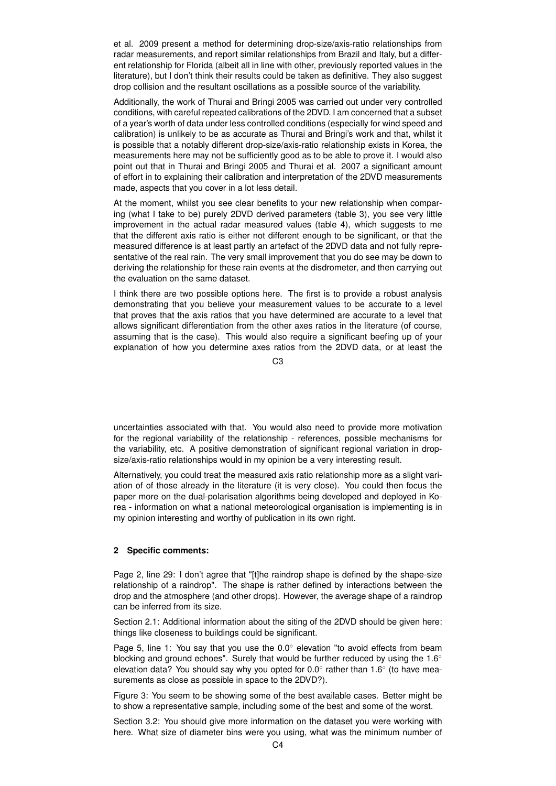et al. 2009 present a method for determining drop-size/axis-ratio relationships from radar measurements, and report similar relationships from Brazil and Italy, but a different relationship for Florida (albeit all in line with other, previously reported values in the literature), but I don't think their results could be taken as definitive. They also suggest drop collision and the resultant oscillations as a possible source of the variability.

Additionally, the work of Thurai and Bringi 2005 was carried out under very controlled conditions, with careful repeated calibrations of the 2DVD. I am concerned that a subset of a year's worth of data under less controlled conditions (especially for wind speed and calibration) is unlikely to be as accurate as Thurai and Bringi's work and that, whilst it is possible that a notably different drop-size/axis-ratio relationship exists in Korea, the measurements here may not be sufficiently good as to be able to prove it. I would also point out that in Thurai and Bringi 2005 and Thurai et al. 2007 a significant amount of effort in to explaining their calibration and interpretation of the 2DVD measurements made, aspects that you cover in a lot less detail.

At the moment, whilst you see clear benefits to your new relationship when comparing (what I take to be) purely 2DVD derived parameters (table 3), you see very little improvement in the actual radar measured values (table 4), which suggests to me that the different axis ratio is either not different enough to be significant, or that the measured difference is at least partly an artefact of the 2DVD data and not fully representative of the real rain. The very small improvement that you do see may be down to deriving the relationship for these rain events at the disdrometer, and then carrying out the evaluation on the same dataset.

I think there are two possible options here. The first is to provide a robust analysis demonstrating that you believe your measurement values to be accurate to a level that proves that the axis ratios that you have determined are accurate to a level that allows significant differentiation from the other axes ratios in the literature (of course, assuming that is the case). This would also require a significant beefing up of your explanation of how you determine axes ratios from the 2DVD data, or at least the

C3

uncertainties associated with that. You would also need to provide more motivation for the regional variability of the relationship - references, possible mechanisms for the variability, etc. A positive demonstration of significant regional variation in dropsize/axis-ratio relationships would in my opinion be a very interesting result.

Alternatively, you could treat the measured axis ratio relationship more as a slight variation of of those already in the literature (it is very close). You could then focus the paper more on the dual-polarisation algorithms being developed and deployed in Korea - information on what a national meteorological organisation is implementing is in my opinion interesting and worthy of publication in its own right.

## **2 Specific comments:**

Page 2, line 29: I don't agree that "[t]he raindrop shape is defined by the shape-size relationship of a raindrop". The shape is rather defined by interactions between the drop and the atmosphere (and other drops). However, the average shape of a raindrop can be inferred from its size.

Section 2.1: Additional information about the siting of the 2DVD should be given here: things like closeness to buildings could be significant.

Page 5, line 1: You say that you use the 0.0° elevation "to avoid effects from beam blocking and ground echoes". Surely that would be further reduced by using the 1.6° elevation data? You should say why you opted for 0.0 $^{\circ}$  rather than 1.6 $^{\circ}$  (to have measurements as close as possible in space to the 2DVD?).

Figure 3: You seem to be showing some of the best available cases. Better might be to show a representative sample, including some of the best and some of the worst.

Section 3.2: You should give more information on the dataset you were working with here. What size of diameter bins were you using, what was the minimum number of